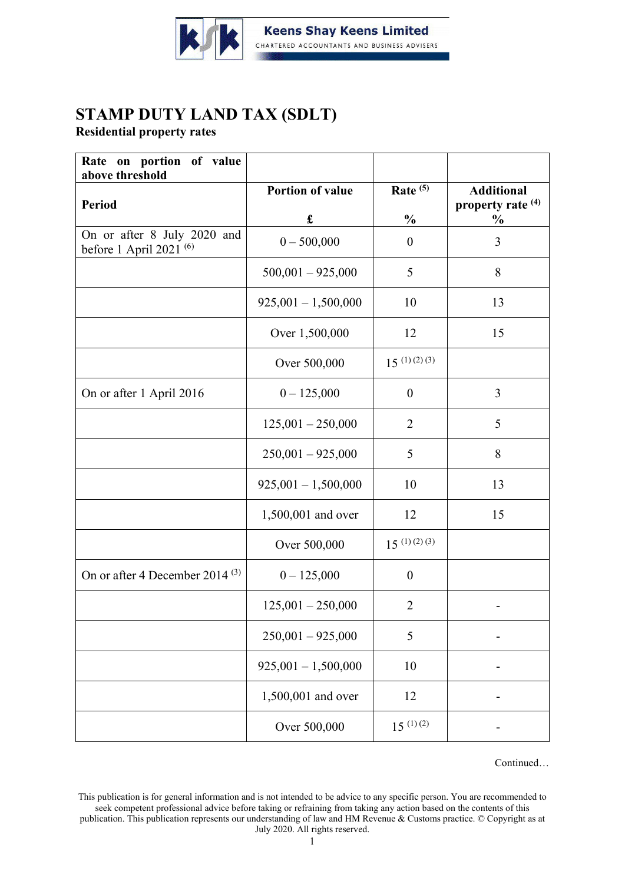

## **STAMP DUTY LAND TAX (SDLT)**

**Residential property rates**

| Rate on portion of value<br>above threshold              |                         |                     |                                        |
|----------------------------------------------------------|-------------------------|---------------------|----------------------------------------|
| <b>Period</b>                                            | <b>Portion of value</b> | Rate <sup>(5)</sup> | <b>Additional</b><br>property rate (4) |
|                                                          | £                       | $\frac{0}{0}$       | $\frac{0}{0}$                          |
| On or after 8 July 2020 and<br>before 1 April 2021 $(6)$ | $0 - 500,000$           | $\mathbf{0}$        | 3                                      |
|                                                          | $500,001 - 925,000$     | 5                   | 8                                      |
|                                                          | $925,001 - 1,500,000$   | 10                  | 13                                     |
|                                                          | Over 1,500,000          | 12                  | 15                                     |
|                                                          | Over 500,000            | $15^{(1)(2)(3)}$    |                                        |
| On or after 1 April 2016                                 | $0 - 125,000$           | $\overline{0}$      | 3                                      |
|                                                          | $125,001 - 250,000$     | $\overline{2}$      | 5                                      |
|                                                          | $250,001 - 925,000$     | 5                   | 8                                      |
|                                                          | $925,001 - 1,500,000$   | 10                  | 13                                     |
|                                                          | 1,500,001 and over      | 12                  | 15                                     |
|                                                          | Over 500,000            | $15^{(1)(2)(3)}$    |                                        |
| On or after 4 December 2014 <sup>(3)</sup>               | $0 - 125,000$           | $\boldsymbol{0}$    |                                        |
|                                                          | $125,001 - 250,000$     | $\overline{2}$      |                                        |
|                                                          | $250,001 - 925,000$     | 5                   |                                        |
|                                                          | $925,001 - 1,500,000$   | 10                  |                                        |
|                                                          | 1,500,001 and over      | 12                  |                                        |
|                                                          | Over 500,000            | $15^{(1)(2)}$       |                                        |

Continued…

This publication is for general information and is not intended to be advice to any specific person. You are recommended to seek competent professional advice before taking or refraining from taking any action based on the contents of this publication. This publication represents our understanding of law and HM Revenue & Customs practice. © Copyright as at July 2020. All rights reserved.